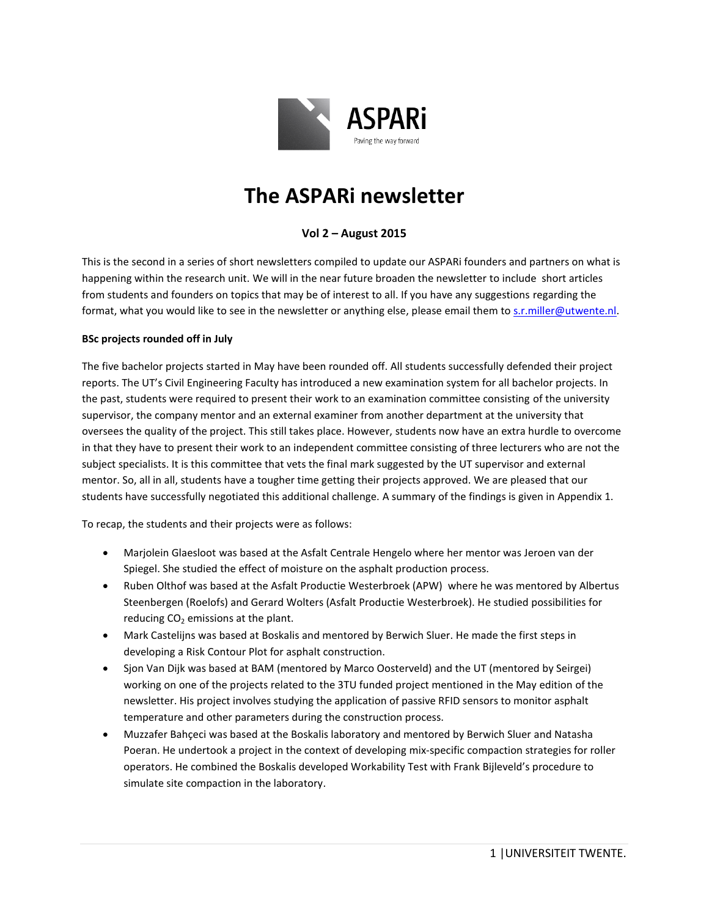

# **The ASPARi newsletter**

## **Vol 2 – August 2015**

This is the second in a series of short newsletters compiled to update our ASPARi founders and partners on what is happening within the research unit. We will in the near future broaden the newsletter to include short articles from students and founders on topics that may be of interest to all. If you have any suggestions regarding the format, what you would like to see in the newsletter or anything else, please email them t[o s.r.miller@utwente.nl.](mailto:s.r.miller@utwente.nl)

#### **BSc projects rounded off in July**

The five bachelor projects started in May have been rounded off. All students successfully defended their project reports. The UT's Civil Engineering Faculty has introduced a new examination system for all bachelor projects. In the past, students were required to present their work to an examination committee consisting of the university supervisor, the company mentor and an external examiner from another department at the university that oversees the quality of the project. This still takes place. However, students now have an extra hurdle to overcome in that they have to present their work to an independent committee consisting of three lecturers who are not the subject specialists. It is this committee that vets the final mark suggested by the UT supervisor and external mentor. So, all in all, students have a tougher time getting their projects approved. We are pleased that our students have successfully negotiated this additional challenge. A summary of the findings is given in Appendix 1.

To recap, the students and their projects were as follows:

- Marjolein Glaesloot was based at the Asfalt Centrale Hengelo where her mentor was Jeroen van der Spiegel. She studied the effect of moisture on the asphalt production process.
- Ruben Olthof was based at the Asfalt Productie Westerbroek (APW) where he was mentored by Albertus Steenbergen (Roelofs) and Gerard Wolters (Asfalt Productie Westerbroek). He studied possibilities for reducing  $CO<sub>2</sub>$  emissions at the plant.
- Mark Castelijns was based at Boskalis and mentored by Berwich Sluer. He made the first steps in developing a Risk Contour Plot for asphalt construction.
- Sjon Van Dijk was based at BAM (mentored by Marco Oosterveld) and the UT (mentored by Seirgei) working on one of the projects related to the 3TU funded project mentioned in the May edition of the newsletter. His project involves studying the application of passive RFID sensors to monitor asphalt temperature and other parameters during the construction process.
- Muzzafer Bahçeci was based at the Boskalis laboratory and mentored by Berwich Sluer and Natasha Poeran. He undertook a project in the context of developing mix-specific compaction strategies for roller operators. He combined the Boskalis developed Workability Test with Frank Bijleveld's procedure to simulate site compaction in the laboratory.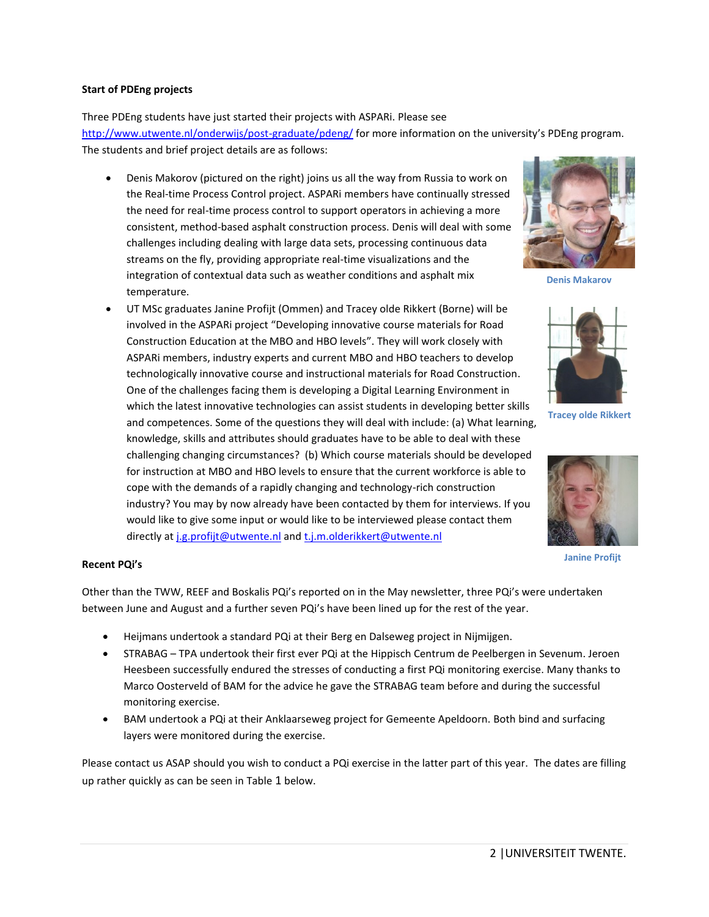#### **Start of PDEng projects**

Three PDEng students have just started their projects with ASPARi. Please see <http://www.utwente.nl/onderwijs/post-graduate/pdeng/> for more information on the university's PDEng program. The students and brief project details are as follows:

- Denis Makorov (pictured on the right) joins us all the way from Russia to work on the Real-time Process Control project. ASPARi members have continually stressed the need for real-time process control to support operators in achieving a more consistent, method-based asphalt construction process. Denis will deal with some challenges including dealing with large data sets, processing continuous data streams on the fly, providing appropriate real-time visualizations and the integration of contextual data such as weather conditions and asphalt mix temperature.
- UT MSc graduates Janine Profijt (Ommen) and Tracey olde Rikkert (Borne) will be involved in the ASPARi project "Developing innovative course materials for Road Construction Education at the MBO and HBO levels". They will work closely with ASPARi members, industry experts and current MBO and HBO teachers to develop technologically innovative course and instructional materials for Road Construction. One of the challenges facing them is developing a Digital Learning Environment in which the latest innovative technologies can assist students in developing better skills and competences. Some of the questions they will deal with include: (a) What learning, knowledge, skills and attributes should graduates have to be able to deal with these challenging changing circumstances? (b) Which course materials should be developed for instruction at MBO and HBO levels to ensure that the current workforce is able to cope with the demands of a rapidly changing and technology-rich construction industry? You may by now already have been contacted by them for interviews. If you would like to give some input or would like to be interviewed please contact them directly a[t j.g.profijt@utwente.nl](mailto:j.g.profijt@utwente.nl) and [t.j.m.olderikkert@utwente.nl](mailto:t.j.m.olderikkert@utwente.nl)



**Denis Makarov**



**Tracey olde Rikkert**



**Janine Profijt**

#### **Recent PQi's**

Other than the TWW, REEF and Boskalis PQi's reported on in the May newsletter, three PQi's were undertaken between June and August and a further seven PQi's have been lined up for the rest of the year.

- Heijmans undertook a standard PQi at their Berg en Dalseweg project in Nijmijgen.
- STRABAG TPA undertook their first ever PQi at the Hippisch Centrum de Peelbergen in Sevenum. Jeroen Heesbeen successfully endured the stresses of conducting a first PQi monitoring exercise. Many thanks to Marco Oosterveld of BAM for the advice he gave the STRABAG team before and during the successful monitoring exercise.
- BAM undertook a PQi at their Anklaarseweg project for Gemeente Apeldoorn. Both bind and surfacing layers were monitored during the exercise.

Please contact us ASAP should you wish to conduct a PQi exercise in the latter part of this year. The dates are filling up rather quickly as can be seen in [Table](#page-2-0) 1 below.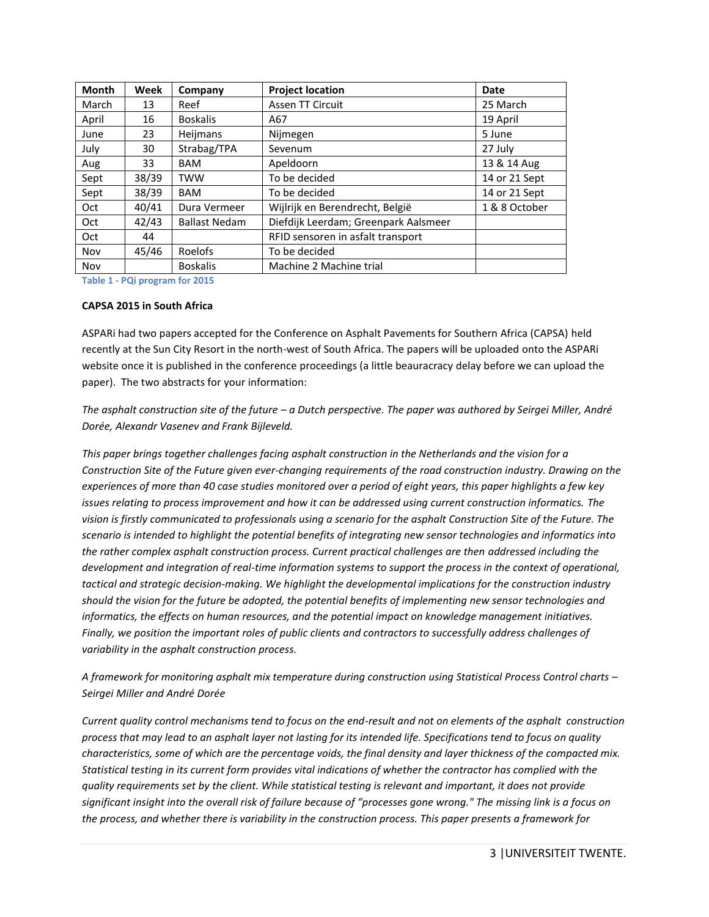| <b>Month</b> | Week  | Company              | <b>Project location</b>              | Date          |
|--------------|-------|----------------------|--------------------------------------|---------------|
| March        | 13    | Reef                 | <b>Assen TT Circuit</b>              | 25 March      |
| April        | 16    | <b>Boskalis</b>      | A67                                  | 19 April      |
| June         | 23.   | Heijmans             | Nijmegen                             | 5 June        |
| July         | 30    | Strabag/TPA          | Sevenum                              | 27 July       |
| Aug          | 33    | <b>BAM</b>           | Apeldoorn                            | 13 & 14 Aug   |
| Sept         | 38/39 | <b>TWW</b>           | To be decided                        | 14 or 21 Sept |
| Sept         | 38/39 | <b>BAM</b>           | To be decided                        | 14 or 21 Sept |
| Oct          | 40/41 | Dura Vermeer         | Wijlrijk en Berendrecht, België      | 1 & 8 October |
| Oct          | 42/43 | <b>Ballast Nedam</b> | Diefdijk Leerdam; Greenpark Aalsmeer |               |
| Oct          | 44    |                      | RFID sensoren in asfalt transport    |               |
| Nov          | 45/46 | Roelofs              | To be decided                        |               |
| Nov          |       | <b>Boskalis</b>      | Machine 2 Machine trial              |               |

<span id="page-2-0"></span>**Table 1 - PQi program for 2015**

#### **CAPSA 2015 in South Africa**

ASPARi had two papers accepted for the Conference on Asphalt Pavements for Southern Africa (CAPSA) held recently at the Sun City Resort in the north-west of South Africa. The papers will be uploaded onto the ASPARi website once it is published in the conference proceedings (a little beauracracy delay before we can upload the paper). The two abstracts for your information:

*The asphalt construction site of the future – a Dutch perspective. The paper was authored by Seirgei Miller, André Dorée, Alexandr Vasenev and Frank Bijleveld.* 

*This paper brings together challenges facing asphalt construction in the Netherlands and the vision for a Construction Site of the Future given ever-changing requirements of the road construction industry. Drawing on the experiences of more than 40 case studies monitored over a period of eight years, this paper highlights a few key issues relating to process improvement and how it can be addressed using current construction informatics. The vision is firstly communicated to professionals using a scenario for the asphalt Construction Site of the Future. The scenario is intended to highlight the potential benefits of integrating new sensor technologies and informatics into the rather complex asphalt construction process. Current practical challenges are then addressed including the development and integration of real-time information systems to support the process in the context of operational, tactical and strategic decision-making. We highlight the developmental implications for the construction industry should the vision for the future be adopted, the potential benefits of implementing new sensor technologies and informatics, the effects on human resources, and the potential impact on knowledge management initiatives. Finally, we position the important roles of public clients and contractors to successfully address challenges of variability in the asphalt construction process.*

*A framework for monitoring asphalt mix temperature during construction using Statistical Process Control charts – Seirgei Miller and André Dorée*

*Current quality control mechanisms tend to focus on the end-result and not on elements of the asphalt construction process that may lead to an asphalt layer not lasting for its intended life. Specifications tend to focus on quality characteristics, some of which are the percentage voids, the final density and layer thickness of the compacted mix. Statistical testing in its current form provides vital indications of whether the contractor has complied with the quality requirements set by the client. While statistical testing is relevant and important, it does not provide significant insight into the overall risk of failure because of "processes gone wrong." The missing link is a focus on the process, and whether there is variability in the construction process. This paper presents a framework for*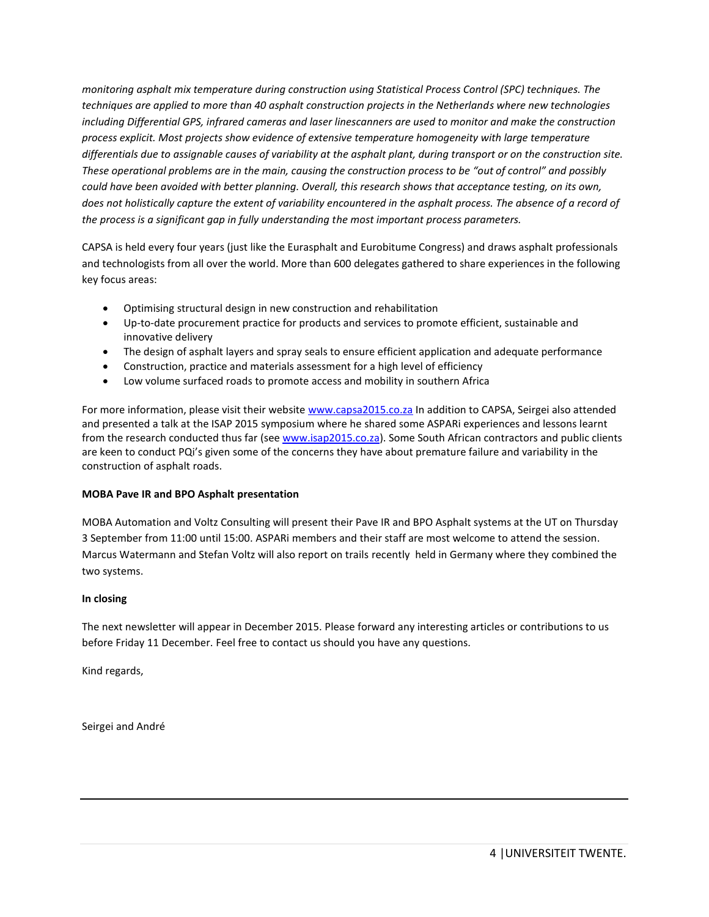*monitoring asphalt mix temperature during construction using Statistical Process Control (SPC) techniques. The techniques are applied to more than 40 asphalt construction projects in the Netherlands where new technologies including Differential GPS, infrared cameras and laser linescanners are used to monitor and make the construction process explicit. Most projects show evidence of extensive temperature homogeneity with large temperature differentials due to assignable causes of variability at the asphalt plant, during transport or on the construction site. These operational problems are in the main, causing the construction process to be "out of control" and possibly could have been avoided with better planning. Overall, this research shows that acceptance testing, on its own,*  does not holistically capture the extent of variability encountered in the asphalt process. The absence of a record of *the process is a significant gap in fully understanding the most important process parameters.*

CAPSA is held every four years (just like the Eurasphalt and Eurobitume Congress) and draws asphalt professionals and technologists from all over the world. More than 600 delegates gathered to share experiences in the following key focus areas:

- Optimising structural design in new construction and rehabilitation
- Up-to-date procurement practice for products and services to promote efficient, sustainable and innovative delivery
- The design of asphalt layers and spray seals to ensure efficient application and adequate performance
- Construction, practice and materials assessment for a high level of efficiency
- Low volume surfaced roads to promote access and mobility in southern Africa

For more information, please visit their website [www.capsa2015.co.za](http://www.capsa2015.co.za/) In addition to CAPSA, Seirgei also attended and presented a talk at the ISAP 2015 symposium where he shared some ASPARi experiences and lessons learnt from the research conducted thus far (see [www.isap2015.co.za\)](http://www.isap2015.co.za/). Some South African contractors and public clients are keen to conduct PQi's given some of the concerns they have about premature failure and variability in the construction of asphalt roads.

#### **MOBA Pave IR and BPO Asphalt presentation**

MOBA Automation and Voltz Consulting will present their Pave IR and BPO Asphalt systems at the UT on Thursday 3 September from 11:00 until 15:00. ASPARi members and their staff are most welcome to attend the session. Marcus Watermann and Stefan Voltz will also report on trails recently held in Germany where they combined the two systems.

#### **In closing**

The next newsletter will appear in December 2015. Please forward any interesting articles or contributions to us before Friday 11 December. Feel free to contact us should you have any questions.

Kind regards,

Seirgei and André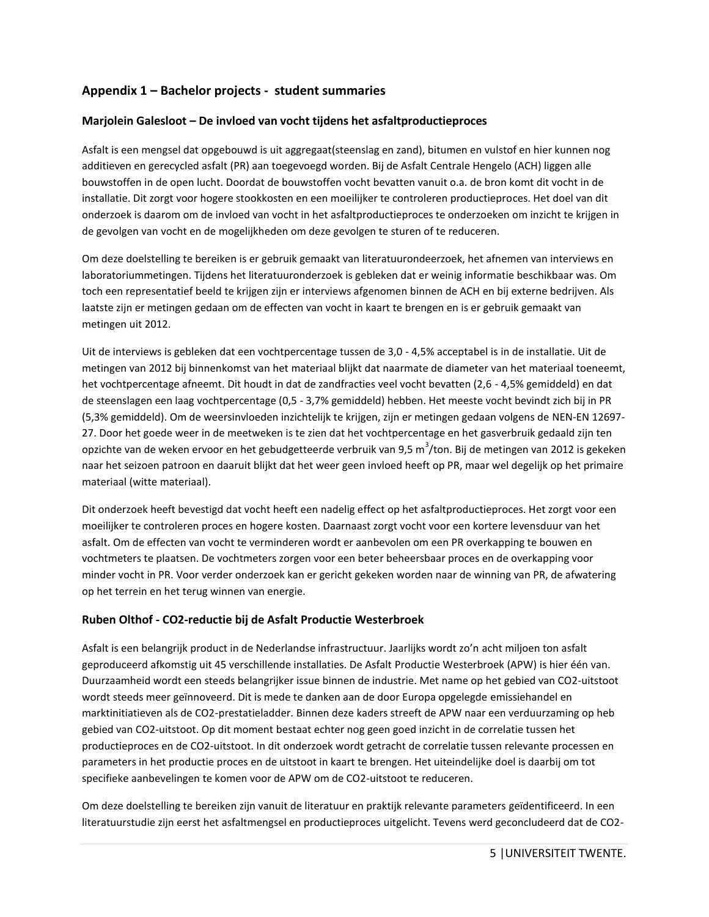## **Appendix 1 – Bachelor projects - student summaries**

## **Marjolein Galesloot – De invloed van vocht tijdens het asfaltproductieproces**

Asfalt is een mengsel dat opgebouwd is uit aggregaat(steenslag en zand), bitumen en vulstof en hier kunnen nog additieven en gerecycled asfalt (PR) aan toegevoegd worden. Bij de Asfalt Centrale Hengelo (ACH) liggen alle bouwstoffen in de open lucht. Doordat de bouwstoffen vocht bevatten vanuit o.a. de bron komt dit vocht in de installatie. Dit zorgt voor hogere stookkosten en een moeilijker te controleren productieproces. Het doel van dit onderzoek is daarom om de invloed van vocht in het asfaltproductieproces te onderzoeken om inzicht te krijgen in de gevolgen van vocht en de mogelijkheden om deze gevolgen te sturen of te reduceren.

Om deze doelstelling te bereiken is er gebruik gemaakt van literatuurondeerzoek, het afnemen van interviews en laboratoriummetingen. Tijdens het literatuuronderzoek is gebleken dat er weinig informatie beschikbaar was. Om toch een representatief beeld te krijgen zijn er interviews afgenomen binnen de ACH en bij externe bedrijven. Als laatste zijn er metingen gedaan om de effecten van vocht in kaart te brengen en is er gebruik gemaakt van metingen uit 2012.

Uit de interviews is gebleken dat een vochtpercentage tussen de 3,0 - 4,5% acceptabel is in de installatie. Uit de metingen van 2012 bij binnenkomst van het materiaal blijkt dat naarmate de diameter van het materiaal toeneemt, het vochtpercentage afneemt. Dit houdt in dat de zandfracties veel vocht bevatten (2,6 - 4,5% gemiddeld) en dat de steenslagen een laag vochtpercentage (0,5 - 3,7% gemiddeld) hebben. Het meeste vocht bevindt zich bij in PR (5,3% gemiddeld). Om de weersinvloeden inzichtelijk te krijgen, zijn er metingen gedaan volgens de NEN-EN 12697- 27. Door het goede weer in de meetweken is te zien dat het vochtpercentage en het gasverbruik gedaald zijn ten opzichte van de weken ervoor en het gebudgetteerde verbruik van 9,5 m<sup>3</sup>/ton. Bij de metingen van 2012 is gekeken naar het seizoen patroon en daaruit blijkt dat het weer geen invloed heeft op PR, maar wel degelijk op het primaire materiaal (witte materiaal).

Dit onderzoek heeft bevestigd dat vocht heeft een nadelig effect op het asfaltproductieproces. Het zorgt voor een moeilijker te controleren proces en hogere kosten. Daarnaast zorgt vocht voor een kortere levensduur van het asfalt. Om de effecten van vocht te verminderen wordt er aanbevolen om een PR overkapping te bouwen en vochtmeters te plaatsen. De vochtmeters zorgen voor een beter beheersbaar proces en de overkapping voor minder vocht in PR. Voor verder onderzoek kan er gericht gekeken worden naar de winning van PR, de afwatering op het terrein en het terug winnen van energie.

#### **Ruben Olthof - CO2-reductie bij de Asfalt Productie Westerbroek**

Asfalt is een belangrijk product in de Nederlandse infrastructuur. Jaarlijks wordt zo'n acht miljoen ton asfalt geproduceerd afkomstig uit 45 verschillende installaties. De Asfalt Productie Westerbroek (APW) is hier één van. Duurzaamheid wordt een steeds belangrijker issue binnen de industrie. Met name op het gebied van CO2-uitstoot wordt steeds meer geïnnoveerd. Dit is mede te danken aan de door Europa opgelegde emissiehandel en marktinitiatieven als de CO2-prestatieladder. Binnen deze kaders streeft de APW naar een verduurzaming op heb gebied van CO2-uitstoot. Op dit moment bestaat echter nog geen goed inzicht in de correlatie tussen het productieproces en de CO2-uitstoot. In dit onderzoek wordt getracht de correlatie tussen relevante processen en parameters in het productie proces en de uitstoot in kaart te brengen. Het uiteindelijke doel is daarbij om tot specifieke aanbevelingen te komen voor de APW om de CO2-uitstoot te reduceren.

Om deze doelstelling te bereiken zijn vanuit de literatuur en praktijk relevante parameters geïdentificeerd. In een literatuurstudie zijn eerst het asfaltmengsel en productieproces uitgelicht. Tevens werd geconcludeerd dat de CO2-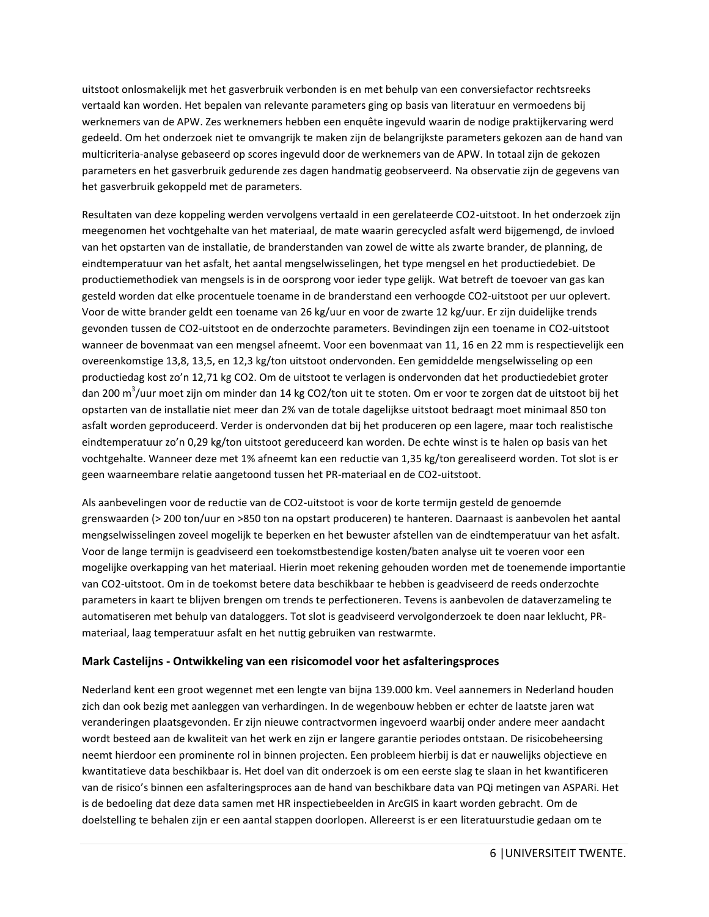uitstoot onlosmakelijk met het gasverbruik verbonden is en met behulp van een conversiefactor rechtsreeks vertaald kan worden. Het bepalen van relevante parameters ging op basis van literatuur en vermoedens bij werknemers van de APW. Zes werknemers hebben een enquête ingevuld waarin de nodige praktijkervaring werd gedeeld. Om het onderzoek niet te omvangrijk te maken zijn de belangrijkste parameters gekozen aan de hand van multicriteria-analyse gebaseerd op scores ingevuld door de werknemers van de APW. In totaal zijn de gekozen parameters en het gasverbruik gedurende zes dagen handmatig geobserveerd. Na observatie zijn de gegevens van het gasverbruik gekoppeld met de parameters.

Resultaten van deze koppeling werden vervolgens vertaald in een gerelateerde CO2-uitstoot. In het onderzoek zijn meegenomen het vochtgehalte van het materiaal, de mate waarin gerecycled asfalt werd bijgemengd, de invloed van het opstarten van de installatie, de branderstanden van zowel de witte als zwarte brander, de planning, de eindtemperatuur van het asfalt, het aantal mengselwisselingen, het type mengsel en het productiedebiet. De productiemethodiek van mengsels is in de oorsprong voor ieder type gelijk. Wat betreft de toevoer van gas kan gesteld worden dat elke procentuele toename in de branderstand een verhoogde CO2-uitstoot per uur oplevert. Voor de witte brander geldt een toename van 26 kg/uur en voor de zwarte 12 kg/uur. Er zijn duidelijke trends gevonden tussen de CO2-uitstoot en de onderzochte parameters. Bevindingen zijn een toename in CO2-uitstoot wanneer de bovenmaat van een mengsel afneemt. Voor een bovenmaat van 11, 16 en 22 mm is respectievelijk een overeenkomstige 13,8, 13,5, en 12,3 kg/ton uitstoot ondervonden. Een gemiddelde mengselwisseling op een productiedag kost zo'n 12,71 kg CO2. Om de uitstoot te verlagen is ondervonden dat het productiedebiet groter dan 200 m<sup>3</sup>/uur moet zijn om minder dan 14 kg CO2/ton uit te stoten. Om er voor te zorgen dat de uitstoot bij het opstarten van de installatie niet meer dan 2% van de totale dagelijkse uitstoot bedraagt moet minimaal 850 ton asfalt worden geproduceerd. Verder is ondervonden dat bij het produceren op een lagere, maar toch realistische eindtemperatuur zo'n 0,29 kg/ton uitstoot gereduceerd kan worden. De echte winst is te halen op basis van het vochtgehalte. Wanneer deze met 1% afneemt kan een reductie van 1,35 kg/ton gerealiseerd worden. Tot slot is er geen waarneembare relatie aangetoond tussen het PR-materiaal en de CO2-uitstoot.

Als aanbevelingen voor de reductie van de CO2-uitstoot is voor de korte termijn gesteld de genoemde grenswaarden (> 200 ton/uur en >850 ton na opstart produceren) te hanteren. Daarnaast is aanbevolen het aantal mengselwisselingen zoveel mogelijk te beperken en het bewuster afstellen van de eindtemperatuur van het asfalt. Voor de lange termijn is geadviseerd een toekomstbestendige kosten/baten analyse uit te voeren voor een mogelijke overkapping van het materiaal. Hierin moet rekening gehouden worden met de toenemende importantie van CO2-uitstoot. Om in de toekomst betere data beschikbaar te hebben is geadviseerd de reeds onderzochte parameters in kaart te blijven brengen om trends te perfectioneren. Tevens is aanbevolen de dataverzameling te automatiseren met behulp van dataloggers. Tot slot is geadviseerd vervolgonderzoek te doen naar leklucht, PRmateriaal, laag temperatuur asfalt en het nuttig gebruiken van restwarmte.

## **Mark Castelijns - Ontwikkeling van een risicomodel voor het asfalteringsproces**

Nederland kent een groot wegennet met een lengte van bijna 139.000 km. Veel aannemers in Nederland houden zich dan ook bezig met aanleggen van verhardingen. In de wegenbouw hebben er echter de laatste jaren wat veranderingen plaatsgevonden. Er zijn nieuwe contractvormen ingevoerd waarbij onder andere meer aandacht wordt besteed aan de kwaliteit van het werk en zijn er langere garantie periodes ontstaan. De risicobeheersing neemt hierdoor een prominente rol in binnen projecten. Een probleem hierbij is dat er nauwelijks objectieve en kwantitatieve data beschikbaar is. Het doel van dit onderzoek is om een eerste slag te slaan in het kwantificeren van de risico's binnen een asfalteringsproces aan de hand van beschikbare data van PQi metingen van ASPARi. Het is de bedoeling dat deze data samen met HR inspectiebeelden in ArcGIS in kaart worden gebracht. Om de doelstelling te behalen zijn er een aantal stappen doorlopen. Allereerst is er een literatuurstudie gedaan om te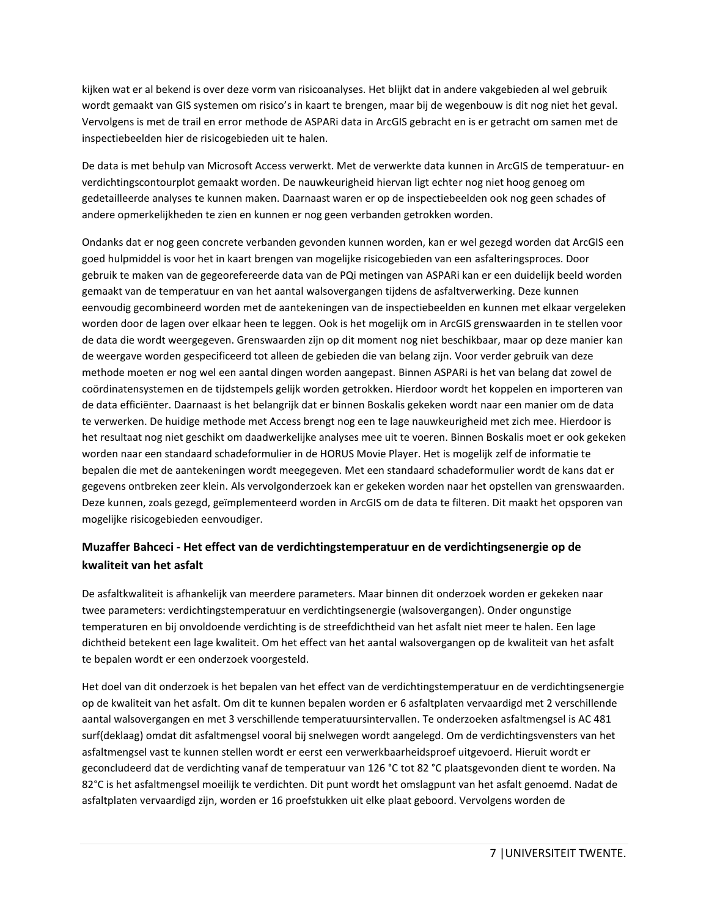kijken wat er al bekend is over deze vorm van risicoanalyses. Het blijkt dat in andere vakgebieden al wel gebruik wordt gemaakt van GIS systemen om risico's in kaart te brengen, maar bij de wegenbouw is dit nog niet het geval. Vervolgens is met de trail en error methode de ASPARi data in ArcGIS gebracht en is er getracht om samen met de inspectiebeelden hier de risicogebieden uit te halen.

De data is met behulp van Microsoft Access verwerkt. Met de verwerkte data kunnen in ArcGIS de temperatuur- en verdichtingscontourplot gemaakt worden. De nauwkeurigheid hiervan ligt echter nog niet hoog genoeg om gedetailleerde analyses te kunnen maken. Daarnaast waren er op de inspectiebeelden ook nog geen schades of andere opmerkelijkheden te zien en kunnen er nog geen verbanden getrokken worden.

Ondanks dat er nog geen concrete verbanden gevonden kunnen worden, kan er wel gezegd worden dat ArcGIS een goed hulpmiddel is voor het in kaart brengen van mogelijke risicogebieden van een asfalteringsproces. Door gebruik te maken van de gegeorefereerde data van de PQi metingen van ASPARi kan er een duidelijk beeld worden gemaakt van de temperatuur en van het aantal walsovergangen tijdens de asfaltverwerking. Deze kunnen eenvoudig gecombineerd worden met de aantekeningen van de inspectiebeelden en kunnen met elkaar vergeleken worden door de lagen over elkaar heen te leggen. Ook is het mogelijk om in ArcGIS grenswaarden in te stellen voor de data die wordt weergegeven. Grenswaarden zijn op dit moment nog niet beschikbaar, maar op deze manier kan de weergave worden gespecificeerd tot alleen de gebieden die van belang zijn. Voor verder gebruik van deze methode moeten er nog wel een aantal dingen worden aangepast. Binnen ASPARi is het van belang dat zowel de coördinatensystemen en de tijdstempels gelijk worden getrokken. Hierdoor wordt het koppelen en importeren van de data efficiënter. Daarnaast is het belangrijk dat er binnen Boskalis gekeken wordt naar een manier om de data te verwerken. De huidige methode met Access brengt nog een te lage nauwkeurigheid met zich mee. Hierdoor is het resultaat nog niet geschikt om daadwerkelijke analyses mee uit te voeren. Binnen Boskalis moet er ook gekeken worden naar een standaard schadeformulier in de HORUS Movie Player. Het is mogelijk zelf de informatie te bepalen die met de aantekeningen wordt meegegeven. Met een standaard schadeformulier wordt de kans dat er gegevens ontbreken zeer klein. Als vervolgonderzoek kan er gekeken worden naar het opstellen van grenswaarden. Deze kunnen, zoals gezegd, geïmplementeerd worden in ArcGIS om de data te filteren. Dit maakt het opsporen van mogelijke risicogebieden eenvoudiger.

# **Muzaffer Bahceci - Het effect van de verdichtingstemperatuur en de verdichtingsenergie op de kwaliteit van het asfalt**

De asfaltkwaliteit is afhankelijk van meerdere parameters. Maar binnen dit onderzoek worden er gekeken naar twee parameters: verdichtingstemperatuur en verdichtingsenergie (walsovergangen). Onder ongunstige temperaturen en bij onvoldoende verdichting is de streefdichtheid van het asfalt niet meer te halen. Een lage dichtheid betekent een lage kwaliteit. Om het effect van het aantal walsovergangen op de kwaliteit van het asfalt te bepalen wordt er een onderzoek voorgesteld.

Het doel van dit onderzoek is het bepalen van het effect van de verdichtingstemperatuur en de verdichtingsenergie op de kwaliteit van het asfalt. Om dit te kunnen bepalen worden er 6 asfaltplaten vervaardigd met 2 verschillende aantal walsovergangen en met 3 verschillende temperatuursintervallen. Te onderzoeken asfaltmengsel is AC 481 surf(deklaag) omdat dit asfaltmengsel vooral bij snelwegen wordt aangelegd. Om de verdichtingsvensters van het asfaltmengsel vast te kunnen stellen wordt er eerst een verwerkbaarheidsproef uitgevoerd. Hieruit wordt er geconcludeerd dat de verdichting vanaf de temperatuur van 126 °C tot 82 °C plaatsgevonden dient te worden. Na 82°C is het asfaltmengsel moeilijk te verdichten. Dit punt wordt het omslagpunt van het asfalt genoemd. Nadat de asfaltplaten vervaardigd zijn, worden er 16 proefstukken uit elke plaat geboord. Vervolgens worden de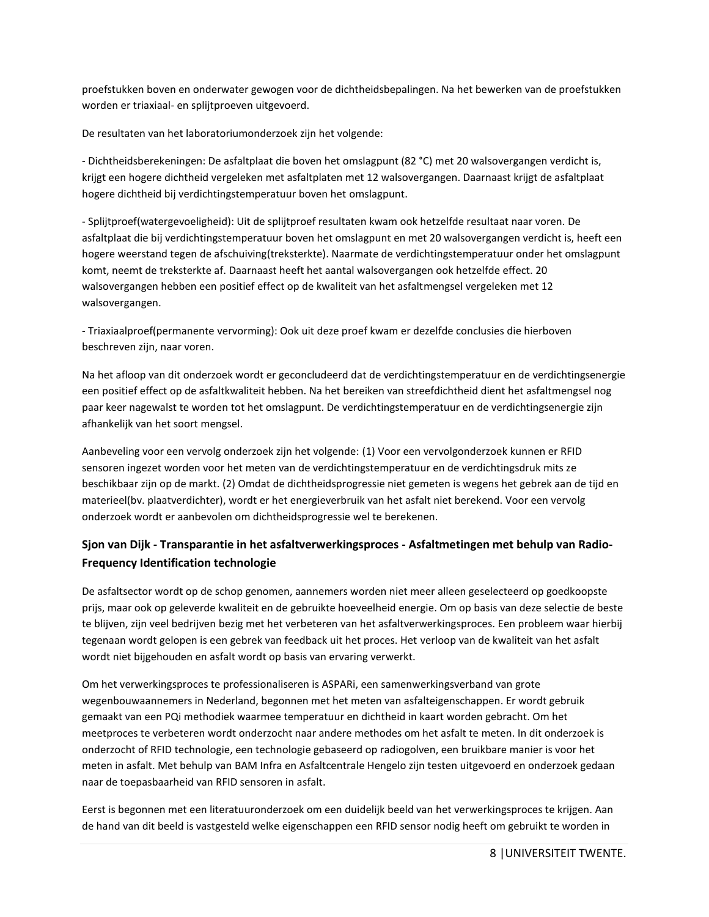proefstukken boven en onderwater gewogen voor de dichtheidsbepalingen. Na het bewerken van de proefstukken worden er triaxiaal- en splijtproeven uitgevoerd.

De resultaten van het laboratoriumonderzoek zijn het volgende:

- Dichtheidsberekeningen: De asfaltplaat die boven het omslagpunt (82 °C) met 20 walsovergangen verdicht is, krijgt een hogere dichtheid vergeleken met asfaltplaten met 12 walsovergangen. Daarnaast krijgt de asfaltplaat hogere dichtheid bij verdichtingstemperatuur boven het omslagpunt.

- Splijtproef(watergevoeligheid): Uit de splijtproef resultaten kwam ook hetzelfde resultaat naar voren. De asfaltplaat die bij verdichtingstemperatuur boven het omslagpunt en met 20 walsovergangen verdicht is, heeft een hogere weerstand tegen de afschuiving(treksterkte). Naarmate de verdichtingstemperatuur onder het omslagpunt komt, neemt de treksterkte af. Daarnaast heeft het aantal walsovergangen ook hetzelfde effect. 20 walsovergangen hebben een positief effect op de kwaliteit van het asfaltmengsel vergeleken met 12 walsovergangen.

- Triaxiaalproef(permanente vervorming): Ook uit deze proef kwam er dezelfde conclusies die hierboven beschreven zijn, naar voren.

Na het afloop van dit onderzoek wordt er geconcludeerd dat de verdichtingstemperatuur en de verdichtingsenergie een positief effect op de asfaltkwaliteit hebben. Na het bereiken van streefdichtheid dient het asfaltmengsel nog paar keer nagewalst te worden tot het omslagpunt. De verdichtingstemperatuur en de verdichtingsenergie zijn afhankelijk van het soort mengsel.

Aanbeveling voor een vervolg onderzoek zijn het volgende: (1) Voor een vervolgonderzoek kunnen er RFID sensoren ingezet worden voor het meten van de verdichtingstemperatuur en de verdichtingsdruk mits ze beschikbaar zijn op de markt. (2) Omdat de dichtheidsprogressie niet gemeten is wegens het gebrek aan de tijd en materieel(bv. plaatverdichter), wordt er het energieverbruik van het asfalt niet berekend. Voor een vervolg onderzoek wordt er aanbevolen om dichtheidsprogressie wel te berekenen.

# **Sjon van Dijk - Transparantie in het asfaltverwerkingsproces - Asfaltmetingen met behulp van Radio-Frequency Identification technologie**

De asfaltsector wordt op de schop genomen, aannemers worden niet meer alleen geselecteerd op goedkoopste prijs, maar ook op geleverde kwaliteit en de gebruikte hoeveelheid energie. Om op basis van deze selectie de beste te blijven, zijn veel bedrijven bezig met het verbeteren van het asfaltverwerkingsproces. Een probleem waar hierbij tegenaan wordt gelopen is een gebrek van feedback uit het proces. Het verloop van de kwaliteit van het asfalt wordt niet bijgehouden en asfalt wordt op basis van ervaring verwerkt.

Om het verwerkingsproces te professionaliseren is ASPARi, een samenwerkingsverband van grote wegenbouwaannemers in Nederland, begonnen met het meten van asfalteigenschappen. Er wordt gebruik gemaakt van een PQi methodiek waarmee temperatuur en dichtheid in kaart worden gebracht. Om het meetproces te verbeteren wordt onderzocht naar andere methodes om het asfalt te meten. In dit onderzoek is onderzocht of RFID technologie, een technologie gebaseerd op radiogolven, een bruikbare manier is voor het meten in asfalt. Met behulp van BAM Infra en Asfaltcentrale Hengelo zijn testen uitgevoerd en onderzoek gedaan naar de toepasbaarheid van RFID sensoren in asfalt.

Eerst is begonnen met een literatuuronderzoek om een duidelijk beeld van het verwerkingsproces te krijgen. Aan de hand van dit beeld is vastgesteld welke eigenschappen een RFID sensor nodig heeft om gebruikt te worden in